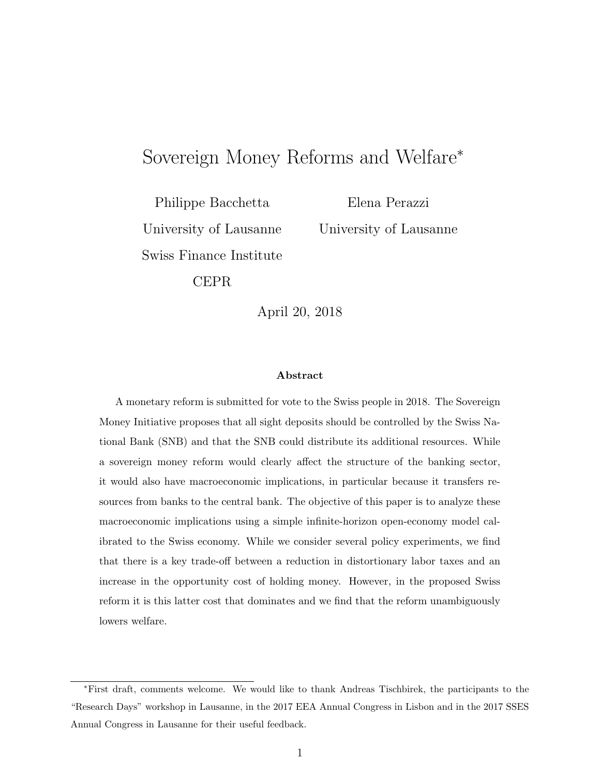# Sovereign Money Reforms and Welfare<sup>∗</sup>

Philippe Bacchetta University of Lausanne Swiss Finance Institute

Elena Perazzi University of Lausanne

CEPR

April 20, 2018

#### Abstract

A monetary reform is submitted for vote to the Swiss people in 2018. The Sovereign Money Initiative proposes that all sight deposits should be controlled by the Swiss National Bank (SNB) and that the SNB could distribute its additional resources. While a sovereign money reform would clearly affect the structure of the banking sector, it would also have macroeconomic implications, in particular because it transfers resources from banks to the central bank. The objective of this paper is to analyze these macroeconomic implications using a simple infinite-horizon open-economy model calibrated to the Swiss economy. While we consider several policy experiments, we find that there is a key trade-off between a reduction in distortionary labor taxes and an increase in the opportunity cost of holding money. However, in the proposed Swiss reform it is this latter cost that dominates and we find that the reform unambiguously lowers welfare.

<sup>∗</sup>First draft, comments welcome. We would like to thank Andreas Tischbirek, the participants to the "Research Days" workshop in Lausanne, in the 2017 EEA Annual Congress in Lisbon and in the 2017 SSES Annual Congress in Lausanne for their useful feedback.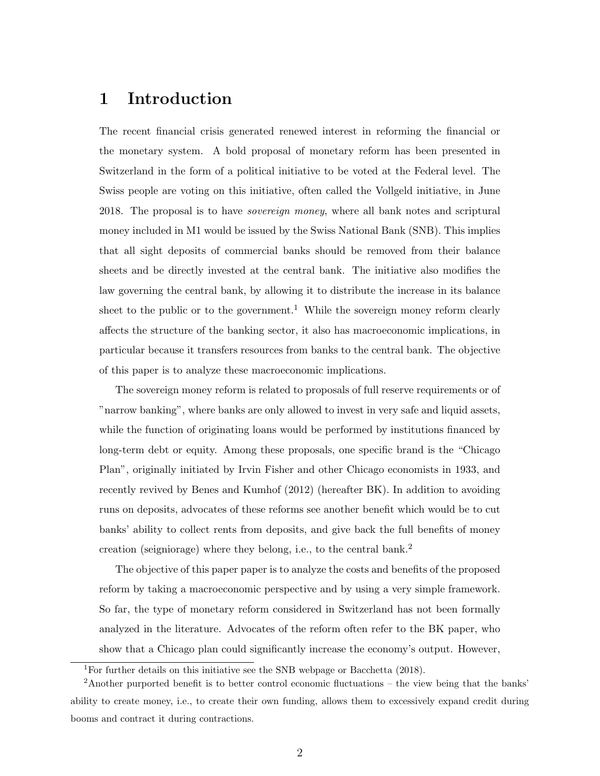## 1 Introduction

The recent financial crisis generated renewed interest in reforming the financial or the monetary system. A bold proposal of monetary reform has been presented in Switzerland in the form of a political initiative to be voted at the Federal level. The Swiss people are voting on this initiative, often called the Vollgeld initiative, in June 2018. The proposal is to have sovereign money, where all bank notes and scriptural money included in M1 would be issued by the Swiss National Bank (SNB). This implies that all sight deposits of commercial banks should be removed from their balance sheets and be directly invested at the central bank. The initiative also modifies the law governing the central bank, by allowing it to distribute the increase in its balance sheet to the public or to the government.<sup>1</sup> While the sovereign money reform clearly affects the structure of the banking sector, it also has macroeconomic implications, in particular because it transfers resources from banks to the central bank. The objective of this paper is to analyze these macroeconomic implications.

The sovereign money reform is related to proposals of full reserve requirements or of "narrow banking", where banks are only allowed to invest in very safe and liquid assets, while the function of originating loans would be performed by institutions financed by long-term debt or equity. Among these proposals, one specific brand is the "Chicago Plan", originally initiated by Irvin Fisher and other Chicago economists in 1933, and recently revived by Benes and Kumhof (2012) (hereafter BK). In addition to avoiding runs on deposits, advocates of these reforms see another benefit which would be to cut banks' ability to collect rents from deposits, and give back the full benefits of money creation (seigniorage) where they belong, i.e., to the central bank.<sup>2</sup>

The objective of this paper paper is to analyze the costs and benefits of the proposed reform by taking a macroeconomic perspective and by using a very simple framework. So far, the type of monetary reform considered in Switzerland has not been formally analyzed in the literature. Advocates of the reform often refer to the BK paper, who show that a Chicago plan could significantly increase the economy's output. However,

<sup>&</sup>lt;sup>1</sup>For further details on this initiative see the SNB webpage or Bacchetta  $(2018)$ .

<sup>2</sup>Another purported benefit is to better control economic fluctuations – the view being that the banks' ability to create money, i.e., to create their own funding, allows them to excessively expand credit during booms and contract it during contractions.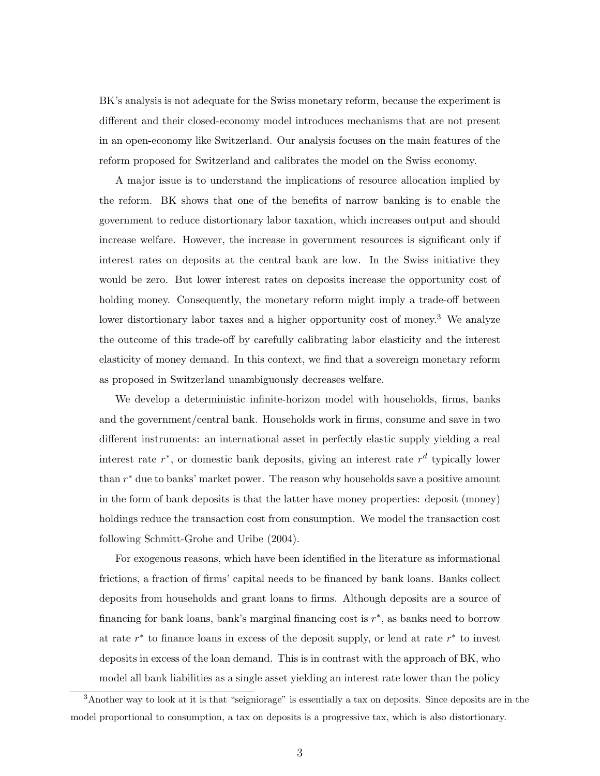BK's analysis is not adequate for the Swiss monetary reform, because the experiment is different and their closed-economy model introduces mechanisms that are not present in an open-economy like Switzerland. Our analysis focuses on the main features of the reform proposed for Switzerland and calibrates the model on the Swiss economy.

A major issue is to understand the implications of resource allocation implied by the reform. BK shows that one of the benefits of narrow banking is to enable the government to reduce distortionary labor taxation, which increases output and should increase welfare. However, the increase in government resources is significant only if interest rates on deposits at the central bank are low. In the Swiss initiative they would be zero. But lower interest rates on deposits increase the opportunity cost of holding money. Consequently, the monetary reform might imply a trade-off between lower distortionary labor taxes and a higher opportunity cost of money.<sup>3</sup> We analyze the outcome of this trade-off by carefully calibrating labor elasticity and the interest elasticity of money demand. In this context, we find that a sovereign monetary reform as proposed in Switzerland unambiguously decreases welfare.

We develop a deterministic infinite-horizon model with households, firms, banks and the government/central bank. Households work in firms, consume and save in two different instruments: an international asset in perfectly elastic supply yielding a real interest rate  $r^*$ , or domestic bank deposits, giving an interest rate  $r^d$  typically lower than  $r^*$  due to banks' market power. The reason why households save a positive amount in the form of bank deposits is that the latter have money properties: deposit (money) holdings reduce the transaction cost from consumption. We model the transaction cost following Schmitt-Grohe and Uribe (2004).

For exogenous reasons, which have been identified in the literature as informational frictions, a fraction of firms' capital needs to be financed by bank loans. Banks collect deposits from households and grant loans to firms. Although deposits are a source of financing for bank loans, bank's marginal financing cost is  $r^*$ , as banks need to borrow at rate  $r^*$  to finance loans in excess of the deposit supply, or lend at rate  $r^*$  to invest deposits in excess of the loan demand. This is in contrast with the approach of BK, who model all bank liabilities as a single asset yielding an interest rate lower than the policy

<sup>3</sup>Another way to look at it is that "seigniorage" is essentially a tax on deposits. Since deposits are in the model proportional to consumption, a tax on deposits is a progressive tax, which is also distortionary.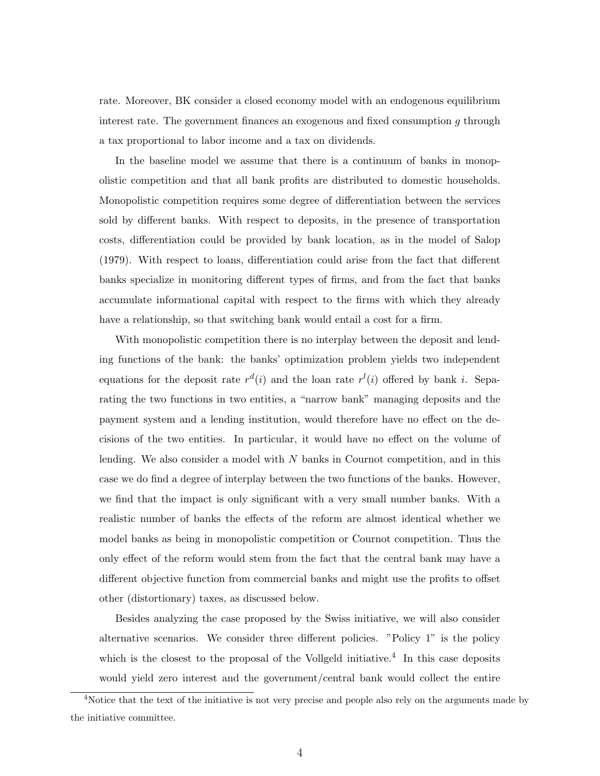rate. Moreover, BK consider a closed economy model with an endogenous equilibrium interest rate. The government finances an exogenous and fixed consumption g through a tax proportional to labor income and a tax on dividends.

In the baseline model we assume that there is a continuum of banks in monopolistic competition and that all bank profits are distributed to domestic households. Monopolistic competition requires some degree of differentiation between the services sold by different banks. With respect to deposits, in the presence of transportation costs, differentiation could be provided by bank location, as in the model of Salop (1979). With respect to loans, differentiation could arise from the fact that different banks specialize in monitoring different types of firms, and from the fact that banks accumulate informational capital with respect to the firms with which they already have a relationship, so that switching bank would entail a cost for a firm.

With monopolistic competition there is no interplay between the deposit and lending functions of the bank: the banks' optimization problem yields two independent equations for the deposit rate  $r^d(i)$  and the loan rate  $r^l(i)$  offered by bank i. Separating the two functions in two entities, a "narrow bank" managing deposits and the payment system and a lending institution, would therefore have no effect on the decisions of the two entities. In particular, it would have no effect on the volume of lending. We also consider a model with N banks in Cournot competition, and in this case we do find a degree of interplay between the two functions of the banks. However, we find that the impact is only significant with a very small number banks. With a realistic number of banks the effects of the reform are almost identical whether we model banks as being in monopolistic competition or Cournot competition. Thus the only effect of the reform would stem from the fact that the central bank may have a different objective function from commercial banks and might use the profits to offset other (distortionary) taxes, as discussed below.

Besides analyzing the case proposed by the Swiss initiative, we will also consider alternative scenarios. We consider three different policies. "Policy 1" is the policy which is the closest to the proposal of the Vollgeld initiative.<sup>4</sup> In this case deposits would yield zero interest and the government/central bank would collect the entire

<sup>&</sup>lt;sup>4</sup>Notice that the text of the initiative is not very precise and people also rely on the arguments made by the initiative committee.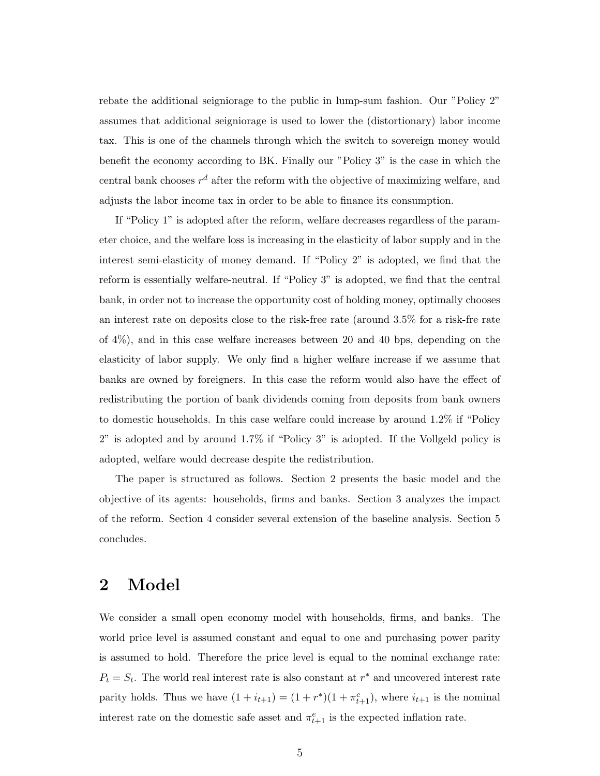rebate the additional seigniorage to the public in lump-sum fashion. Our "Policy 2" assumes that additional seigniorage is used to lower the (distortionary) labor income tax. This is one of the channels through which the switch to sovereign money would benefit the economy according to BK. Finally our "Policy 3" is the case in which the central bank chooses  $r^d$  after the reform with the objective of maximizing welfare, and adjusts the labor income tax in order to be able to finance its consumption.

If "Policy 1" is adopted after the reform, welfare decreases regardless of the parameter choice, and the welfare loss is increasing in the elasticity of labor supply and in the interest semi-elasticity of money demand. If "Policy 2" is adopted, we find that the reform is essentially welfare-neutral. If "Policy 3" is adopted, we find that the central bank, in order not to increase the opportunity cost of holding money, optimally chooses an interest rate on deposits close to the risk-free rate (around 3.5% for a risk-fre rate of 4%), and in this case welfare increases between 20 and 40 bps, depending on the elasticity of labor supply. We only find a higher welfare increase if we assume that banks are owned by foreigners. In this case the reform would also have the effect of redistributing the portion of bank dividends coming from deposits from bank owners to domestic households. In this case welfare could increase by around 1.2% if "Policy 2" is adopted and by around 1.7% if "Policy 3" is adopted. If the Vollgeld policy is adopted, welfare would decrease despite the redistribution.

The paper is structured as follows. Section 2 presents the basic model and the objective of its agents: households, firms and banks. Section 3 analyzes the impact of the reform. Section 4 consider several extension of the baseline analysis. Section 5 concludes.

## 2 Model

We consider a small open economy model with households, firms, and banks. The world price level is assumed constant and equal to one and purchasing power parity is assumed to hold. Therefore the price level is equal to the nominal exchange rate:  $P_t = S_t$ . The world real interest rate is also constant at  $r^*$  and uncovered interest rate parity holds. Thus we have  $(1 + i_{t+1}) = (1 + r^*)(1 + \pi_{t+1}^e)$ , where  $i_{t+1}$  is the nominal interest rate on the domestic safe asset and  $\pi_{t+1}^e$  is the expected inflation rate.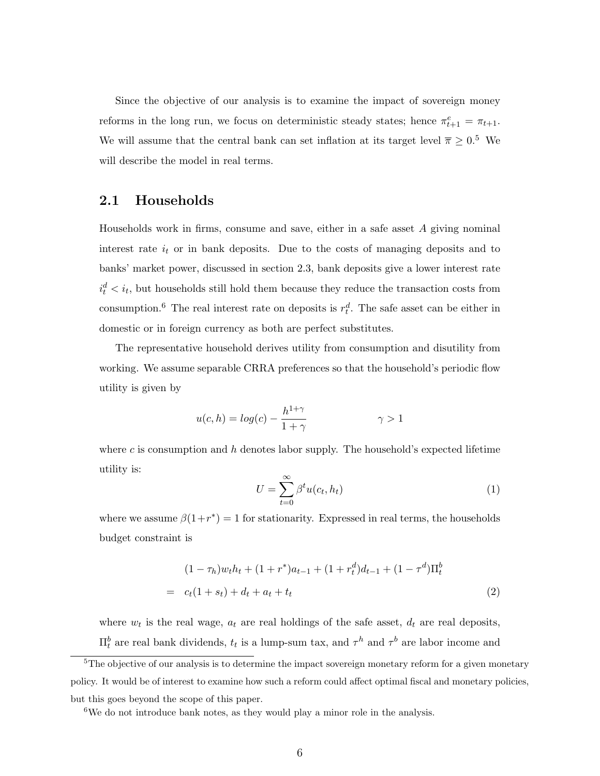Since the objective of our analysis is to examine the impact of sovereign money reforms in the long run, we focus on deterministic steady states; hence  $\pi_{t+1}^e = \pi_{t+1}$ . We will assume that the central bank can set inflation at its target level  $\bar{\pi} \geq 0.5$  We will describe the model in real terms.

### 2.1 Households

Households work in firms, consume and save, either in a safe asset A giving nominal interest rate  $i_t$  or in bank deposits. Due to the costs of managing deposits and to banks' market power, discussed in section 2.3, bank deposits give a lower interest rate  $i_t^d < i_t$ , but households still hold them because they reduce the transaction costs from consumption.<sup>6</sup> The real interest rate on deposits is  $r_t^d$ . The safe asset can be either in domestic or in foreign currency as both are perfect substitutes.

The representative household derives utility from consumption and disutility from working. We assume separable CRRA preferences so that the household's periodic flow utility is given by

$$
u(c,h) = \log(c) - \frac{h^{1+\gamma}}{1+\gamma} \qquad \gamma > 1
$$

where c is consumption and h denotes labor supply. The household's expected lifetime utility is:

$$
U = \sum_{t=0}^{\infty} \beta^t u(c_t, h_t)
$$
\n(1)

where we assume  $\beta(1+r^*)=1$  for stationarity. Expressed in real terms, the households budget constraint is

$$
(1 - \tau_h)w_t h_t + (1 + r^*) a_{t-1} + (1 + r^d_t) d_{t-1} + (1 - \tau^d) \Pi_t^b
$$
  
=  $c_t (1 + s_t) + d_t + a_t + t_t$  (2)

where  $w_t$  is the real wage,  $a_t$  are real holdings of the safe asset,  $d_t$  are real deposits,  $\Pi_t^b$  are real bank dividends,  $t_t$  is a lump-sum tax, and  $\tau^h$  and  $\tau^b$  are labor income and

<sup>&</sup>lt;sup>5</sup>The objective of our analysis is to determine the impact sovereign monetary reform for a given monetary policy. It would be of interest to examine how such a reform could affect optimal fiscal and monetary policies, but this goes beyond the scope of this paper.

<sup>&</sup>lt;sup>6</sup>We do not introduce bank notes, as they would play a minor role in the analysis.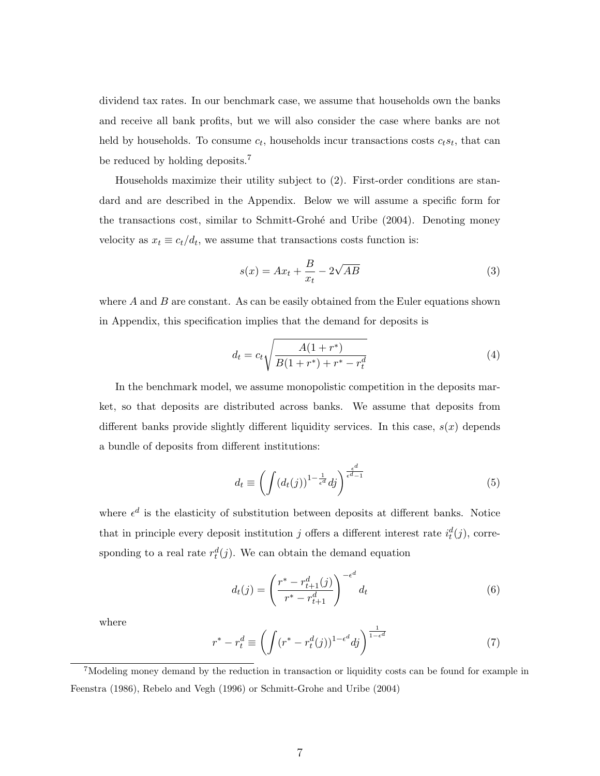dividend tax rates. In our benchmark case, we assume that households own the banks and receive all bank profits, but we will also consider the case where banks are not held by households. To consume  $c_t$ , households incur transactions costs  $c_ts_t$ , that can be reduced by holding deposits.<sup>7</sup>

Households maximize their utility subject to (2). First-order conditions are standard and are described in the Appendix. Below we will assume a specific form for the transactions cost, similar to Schmitt-Grohé and Uribe (2004). Denoting money velocity as  $x_t \equiv c_t/d_t$ , we assume that transactions costs function is:

$$
s(x) = Ax_t + \frac{B}{x_t} - 2\sqrt{AB}
$$
 (3)

where  $A$  and  $B$  are constant. As can be easily obtained from the Euler equations shown in Appendix, this specification implies that the demand for deposits is

$$
d_t = c_t \sqrt{\frac{A(1+r^*)}{B(1+r^*)+r^*-r_t^d}}
$$
\n(4)

In the benchmark model, we assume monopolistic competition in the deposits market, so that deposits are distributed across banks. We assume that deposits from different banks provide slightly different liquidity services. In this case,  $s(x)$  depends a bundle of deposits from different institutions:

$$
d_t \equiv \left( \int (d_t(j))^{1 - \frac{1}{\epsilon^d}} dj \right)^{\frac{\epsilon^d}{\epsilon^d - 1}} \tag{5}
$$

where  $\epsilon^d$  is the elasticity of substitution between deposits at different banks. Notice that in principle every deposit institution j offers a different interest rate  $i_t^d(j)$ , corresponding to a real rate  $r_t^d(j)$ . We can obtain the demand equation

$$
d_t(j) = \left(\frac{r^* - r_{t+1}^d(j)}{r^* - r_{t+1}^d}\right)^{-\epsilon^d} d_t
$$
 (6)

where

$$
r^* - r_t^d \equiv \left( \int (r^* - r_t^d(j))^{1 - \epsilon^d} dj \right)^{\frac{1}{1 - \epsilon^d}} \tag{7}
$$

<sup>7</sup>Modeling money demand by the reduction in transaction or liquidity costs can be found for example in Feenstra (1986), Rebelo and Vegh (1996) or Schmitt-Grohe and Uribe (2004)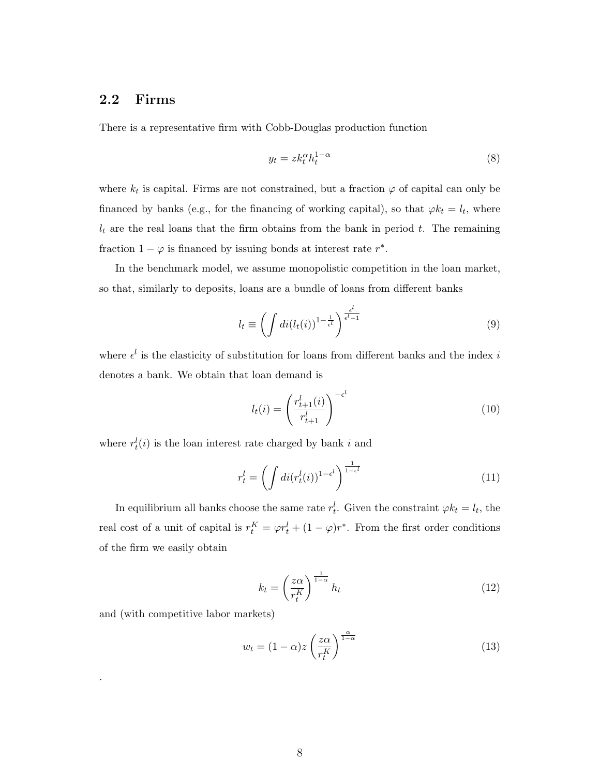#### 2.2 Firms

There is a representative firm with Cobb-Douglas production function

$$
y_t = z k_t^{\alpha} h_t^{1-\alpha} \tag{8}
$$

where  $k_t$  is capital. Firms are not constrained, but a fraction  $\varphi$  of capital can only be financed by banks (e.g., for the financing of working capital), so that  $\varphi k_t = l_t$ , where  $l_t$  are the real loans that the firm obtains from the bank in period t. The remaining fraction  $1 - \varphi$  is financed by issuing bonds at interest rate  $r^*$ .

In the benchmark model, we assume monopolistic competition in the loan market, so that, similarly to deposits, loans are a bundle of loans from different banks

$$
l_t \equiv \left(\int di(l_t(i))^{1-\frac{1}{\epsilon^l}}\right)^{\frac{\epsilon^l}{\epsilon^l-1}}
$$
\n(9)

where  $\epsilon^l$  is the elasticity of substitution for loans from different banks and the index i denotes a bank. We obtain that loan demand is

$$
l_t(i) = \left(\frac{r_{t+1}^l(i)}{r_{t+1}^l}\right)^{-\epsilon^l}
$$
\n
$$
(10)
$$

where  $r_t^l(i)$  is the loan interest rate charged by bank i and

$$
r_t^l = \left(\int di(r_t^l(i))^{1-\epsilon^l}\right)^{\frac{1}{1-\epsilon^l}}\tag{11}
$$

In equilibrium all banks choose the same rate  $r_t^l$ . Given the constraint  $\varphi k_t = l_t$ , the real cost of a unit of capital is  $r_t^K = \varphi r_t^l + (1 - \varphi)r^*$ . From the first order conditions of the firm we easily obtain

$$
k_t = \left(\frac{z\alpha}{r_t^K}\right)^{\frac{1}{1-\alpha}} h_t \tag{12}
$$

and (with competitive labor markets)

.

$$
w_t = (1 - \alpha)z \left(\frac{z\alpha}{r_t^K}\right)^{\frac{\alpha}{1 - \alpha}}\tag{13}
$$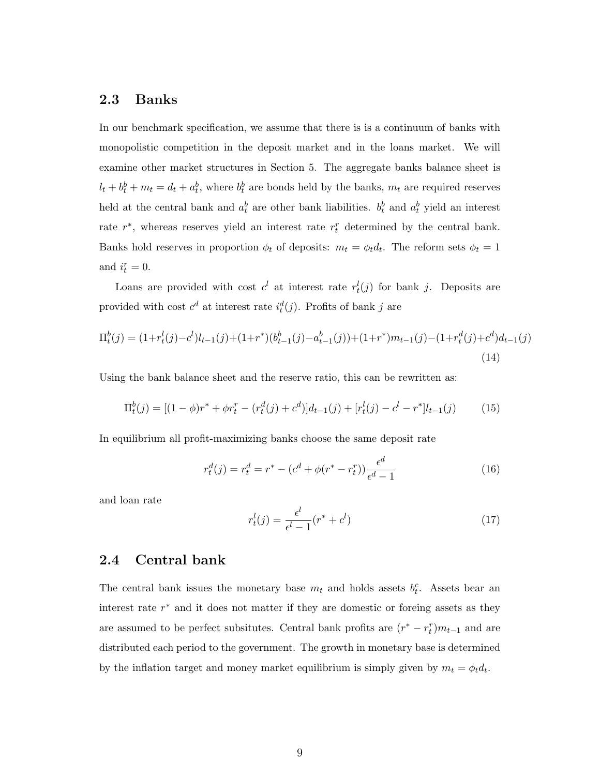#### 2.3 Banks

In our benchmark specification, we assume that there is is a continuum of banks with monopolistic competition in the deposit market and in the loans market. We will examine other market structures in Section 5. The aggregate banks balance sheet is  $l_t + b_t^b + m_t = d_t + a_t^b$ , where  $b_t^b$  are bonds held by the banks,  $m_t$  are required reserves held at the central bank and  $a_t^b$  are other bank liabilities.  $b_t^b$  and  $a_t^b$  yield an interest rate  $r^*$ , whereas reserves yield an interest rate  $r_t^r$  determined by the central bank. Banks hold reserves in proportion  $\phi_t$  of deposits:  $m_t = \phi_t d_t$ . The reform sets  $\phi_t = 1$ and  $i_t^r = 0$ .

Loans are provided with cost  $c^l$  at interest rate  $r_t^l(j)$  for bank j. Deposits are provided with cost  $c^d$  at interest rate  $i_t^d(j)$ . Profits of bank j are

$$
\Pi_t^b(j) = (1 + r_t^l(j) - c^l)l_{t-1}(j) + (1 + r^*)(b_{t-1}^b(j) - a_{t-1}^b(j)) + (1 + r^*)m_{t-1}(j) - (1 + r_t^d(j) + c^d)d_{t-1}(j)
$$
\n(14)

Using the bank balance sheet and the reserve ratio, this can be rewritten as:

$$
\Pi_t^b(j) = [(1 - \phi)r^* + \phi r_t^r - (r_t^d(j) + c^d)]d_{t-1}(j) + [r_t^l(j) - c^l - r^*]l_{t-1}(j)
$$
(15)

In equilibrium all profit-maximizing banks choose the same deposit rate

$$
r_t^d(j) = r_t^d = r^* - (c^d + \phi(r^* - r_t^r)) \frac{\epsilon^d}{\epsilon^d - 1}
$$
 (16)

and loan rate

$$
r_t^l(j) = \frac{\epsilon^l}{\epsilon^l - 1}(r^* + c^l)
$$
\n<sup>(17)</sup>

#### 2.4 Central bank

The central bank issues the monetary base  $m_t$  and holds assets  $b_t^c$ . Assets bear an interest rate  $r^*$  and it does not matter if they are domestic or foreing assets as they are assumed to be perfect subsitutes. Central bank profits are  $(r^* - r_t^r)m_{t-1}$  and are distributed each period to the government. The growth in monetary base is determined by the inflation target and money market equilibrium is simply given by  $m_t = \phi_t d_t$ .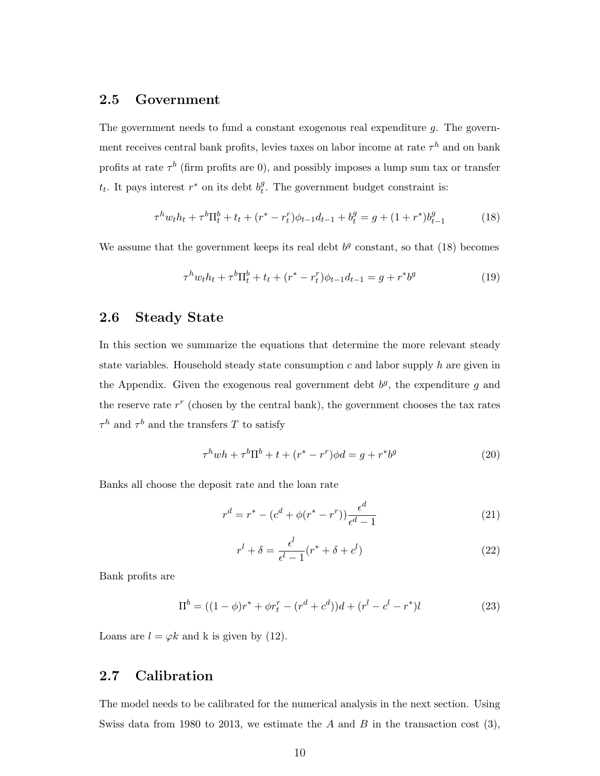#### 2.5 Government

The government needs to fund a constant exogenous real expenditure  $q$ . The government receives central bank profits, levies taxes on labor income at rate  $\tau^h$  and on bank profits at rate  $\tau^b$  (firm profits are 0), and possibly imposes a lump sum tax or transfer  $t_t$ . It pays interest  $r^*$  on its debt  $b_t^g$  $t<sup>g</sup>$ . The government budget constraint is:

$$
\tau^h w_t h_t + \tau^b \Pi_t^b + t_t + (r^* - r_t^r) \phi_{t-1} d_{t-1} + b_t^g = g + (1 + r^*) b_{t-1}^g \tag{18}
$$

We assume that the government keeps its real debt  $b<sup>g</sup>$  constant, so that (18) becomes

$$
\tau^h w_t h_t + \tau^b \Pi_t^b + t_t + (r^* - r_t^r) \phi_{t-1} d_{t-1} = g + r^* b^g \tag{19}
$$

### 2.6 Steady State

In this section we summarize the equations that determine the more relevant steady state variables. Household steady state consumption  $c$  and labor supply  $h$  are given in the Appendix. Given the exogenous real government debt  $b<sup>g</sup>$ , the expenditure g and the reserve rate  $r^r$  (chosen by the central bank), the government chooses the tax rates  $\tau^h$  and  $\tau^b$  and the transfers T to satisfy

$$
\tau^h w h + \tau^b \Pi^b + t + (r^* - r^r) \phi d = g + r^* b^g \tag{20}
$$

Banks all choose the deposit rate and the loan rate

$$
r^{d} = r^{*} - (c^{d} + \phi(r^{*} - r^{r})) \frac{\epsilon^{d}}{\epsilon^{d} - 1}
$$
 (21)

$$
r^{l} + \delta = \frac{\epsilon^{l}}{\epsilon^{l} - 1} (r^{*} + \delta + c^{l})
$$
\n(22)

Bank profits are

$$
\Pi^{b} = ((1 - \phi)r^{*} + \phi r_{t}^{r} - (r^{d} + c^{d}))d + (r^{l} - c^{l} - r^{*})l
$$
\n(23)

Loans are  $l = \varphi k$  and k is given by (12).

#### 2.7 Calibration

The model needs to be calibrated for the numerical analysis in the next section. Using Swiss data from 1980 to 2013, we estimate the A and B in the transaction cost  $(3)$ ,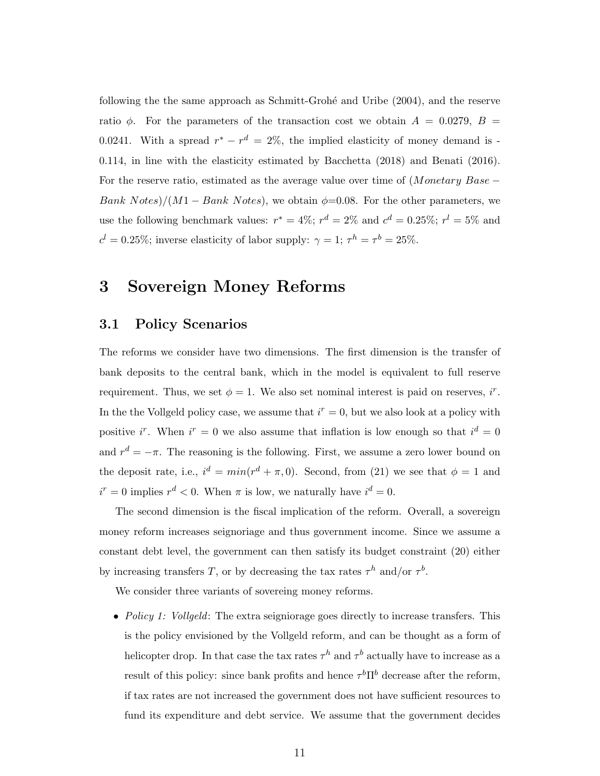following the the same approach as Schmitt-Groh´e and Uribe (2004), and the reserve ratio  $\phi$ . For the parameters of the transaction cost we obtain  $A = 0.0279, B =$ 0.0241. With a spread  $r^* - r^d = 2\%$ , the implied elasticity of money demand is -0.114, in line with the elasticity estimated by Bacchetta (2018) and Benati (2016). For the reserve ratio, estimated as the average value over time of  $(Monetary Base -$ Bank Notes)/(M1 – Bank Notes), we obtain  $\phi$ =0.08. For the other parameters, we use the following benchmark values:  $r^* = 4\%$ ;  $r^d = 2\%$  and  $c^d = 0.25\%$ ;  $r^l = 5\%$  and  $c^l = 0.25\%$ ; inverse elasticity of labor supply:  $\gamma = 1$ ;  $\tau^h = \tau^b = 25\%$ .

### 3 Sovereign Money Reforms

### 3.1 Policy Scenarios

The reforms we consider have two dimensions. The first dimension is the transfer of bank deposits to the central bank, which in the model is equivalent to full reserve requirement. Thus, we set  $\phi = 1$ . We also set nominal interest is paid on reserves, i<sup>r</sup>. In the the Vollgeld policy case, we assume that  $i^r = 0$ , but we also look at a policy with positive i<sup>r</sup>. When  $i^r = 0$  we also assume that inflation is low enough so that  $i^d = 0$ and  $r^d = -\pi$ . The reasoning is the following. First, we assume a zero lower bound on the deposit rate, i.e.,  $i^d = min(r^d + \pi, 0)$ . Second, from (21) we see that  $\phi = 1$  and  $i^r = 0$  implies  $r^d < 0$ . When  $\pi$  is low, we naturally have  $i^d = 0$ .

The second dimension is the fiscal implication of the reform. Overall, a sovereign money reform increases seignoriage and thus government income. Since we assume a constant debt level, the government can then satisfy its budget constraint (20) either by increasing transfers T, or by decreasing the tax rates  $\tau^h$  and/or  $\tau^b$ .

We consider three variants of sovereing money reforms.

• Policy 1: Vollgeld: The extra seigniorage goes directly to increase transfers. This is the policy envisioned by the Vollgeld reform, and can be thought as a form of helicopter drop. In that case the tax rates  $\tau^h$  and  $\tau^b$  actually have to increase as a result of this policy: since bank profits and hence  $\tau^b \Pi^b$  decrease after the reform, if tax rates are not increased the government does not have sufficient resources to fund its expenditure and debt service. We assume that the government decides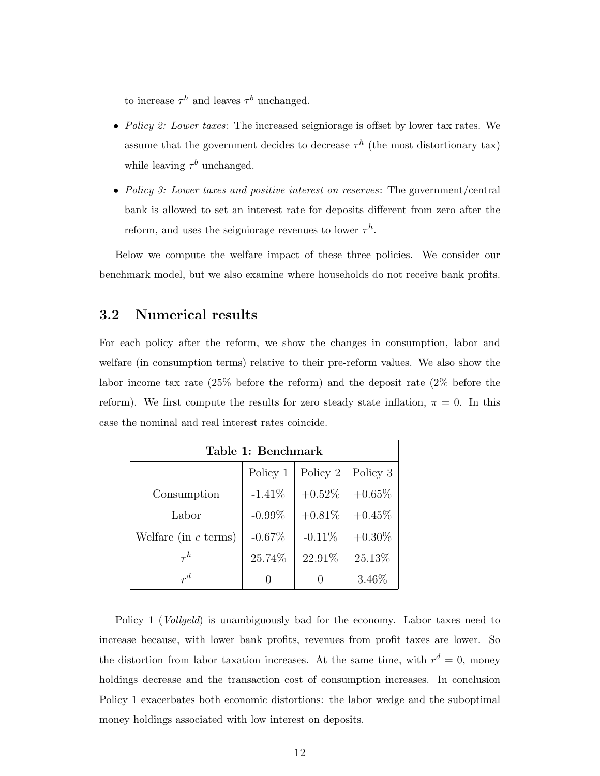to increase  $\tau^h$  and leaves  $\tau^b$  unchanged.

- Policy 2: Lower taxes: The increased seigniorage is offset by lower tax rates. We assume that the government decides to decrease  $\tau^h$  (the most distortionary tax) while leaving  $\tau^b$  unchanged.
- Policy 3: Lower taxes and positive interest on reserves: The government/central bank is allowed to set an interest rate for deposits different from zero after the reform, and uses the seigniorage revenues to lower  $\tau^h$ .

Below we compute the welfare impact of these three policies. We consider our benchmark model, but we also examine where households do not receive bank profits.

### 3.2 Numerical results

For each policy after the reform, we show the changes in consumption, labor and welfare (in consumption terms) relative to their pre-reform values. We also show the labor income tax rate (25% before the reform) and the deposit rate (2% before the reform). We first compute the results for zero steady state inflation,  $\bar{\pi} = 0$ . In this case the nominal and real interest rates coincide.

| Table 1: Benchmark     |           |           |           |
|------------------------|-----------|-----------|-----------|
|                        | Policy 1  | Policy 2  | Policy 3  |
| Consumption            | $-1.41\%$ | $+0.52\%$ | $+0.65%$  |
| Labor                  | $-0.99\%$ | $+0.81\%$ | $+0.45%$  |
| Welfare (in $c$ terms) | $-0.67%$  | $-0.11%$  | $+0.30\%$ |
| $\tau^h$               | 25.74%    | 22.91%    | 25.13%    |
| $r^d$                  |           |           | $3.46\%$  |

Policy 1 (*Vollgeld*) is unambiguously bad for the economy. Labor taxes need to increase because, with lower bank profits, revenues from profit taxes are lower. So the distortion from labor taxation increases. At the same time, with  $r^d = 0$ , money holdings decrease and the transaction cost of consumption increases. In conclusion Policy 1 exacerbates both economic distortions: the labor wedge and the suboptimal money holdings associated with low interest on deposits.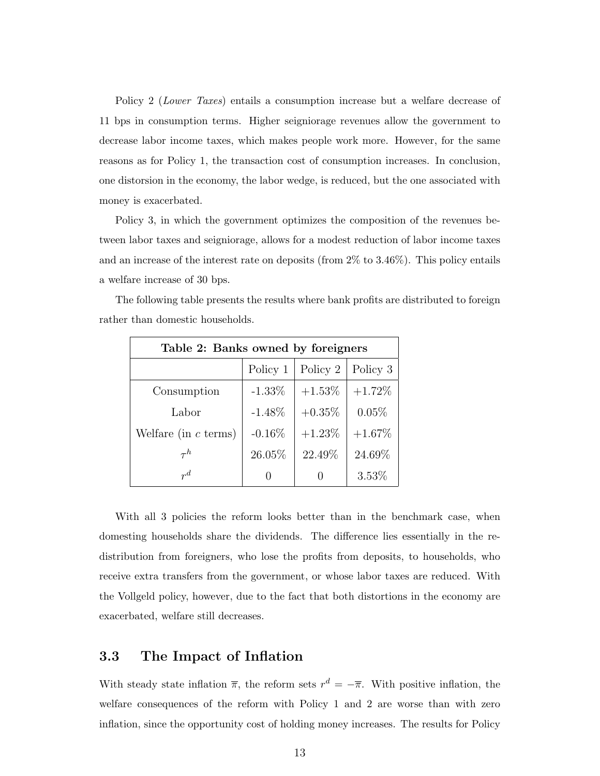Policy 2 (Lower Taxes) entails a consumption increase but a welfare decrease of 11 bps in consumption terms. Higher seigniorage revenues allow the government to decrease labor income taxes, which makes people work more. However, for the same reasons as for Policy 1, the transaction cost of consumption increases. In conclusion, one distorsion in the economy, the labor wedge, is reduced, but the one associated with money is exacerbated.

Policy 3, in which the government optimizes the composition of the revenues between labor taxes and seigniorage, allows for a modest reduction of labor income taxes and an increase of the interest rate on deposits (from 2% to 3.46%). This policy entails a welfare increase of 30 bps.

| Table 2: Banks owned by foreigners |           |           |          |
|------------------------------------|-----------|-----------|----------|
|                                    | Policy 1  | Policy 2  | Policy 3 |
| Consumption                        | $-1.33\%$ | $+1.53\%$ | $+1.72%$ |
| Labor                              | $-1.48\%$ | $+0.35\%$ | $0.05\%$ |
| Welfare (in $c$ terms)             | $-0.16\%$ | $+1.23\%$ | $+1.67%$ |
| $\tau^h$                           | 26.05%    | 22.49%    | 24.69%   |
| $r^d$                              |           |           | $3.53\%$ |

The following table presents the results where bank profits are distributed to foreign rather than domestic households.

With all 3 policies the reform looks better than in the benchmark case, when domesting households share the dividends. The difference lies essentially in the redistribution from foreigners, who lose the profits from deposits, to households, who receive extra transfers from the government, or whose labor taxes are reduced. With the Vollgeld policy, however, due to the fact that both distortions in the economy are exacerbated, welfare still decreases.

### 3.3 The Impact of Inflation

With steady state inflation  $\bar{\pi}$ , the reform sets  $r^d = -\bar{\pi}$ . With positive inflation, the welfare consequences of the reform with Policy 1 and 2 are worse than with zero inflation, since the opportunity cost of holding money increases. The results for Policy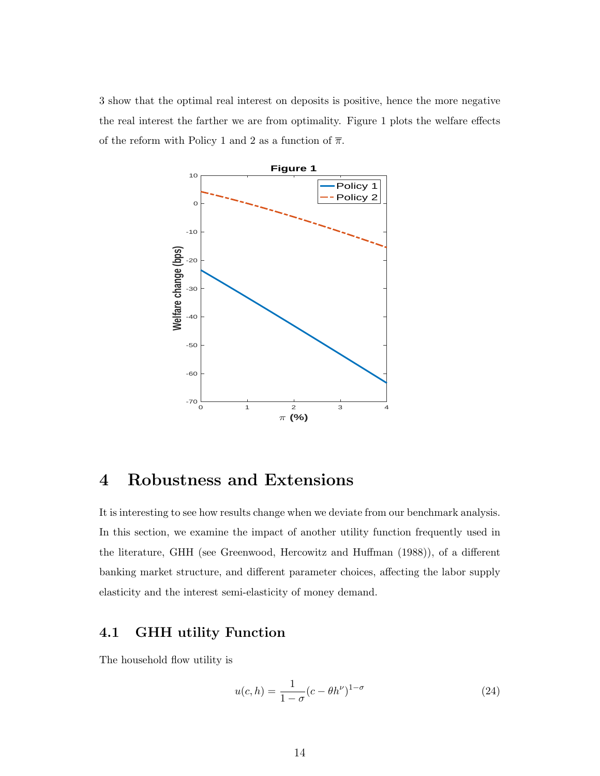3 show that the optimal real interest on deposits is positive, hence the more negative the real interest the farther we are from optimality. Figure 1 plots the welfare effects of the reform with Policy 1 and 2 as a function of  $\overline{\pi}$ .



## 4 Robustness and Extensions

It is interesting to see how results change when we deviate from our benchmark analysis. In this section, we examine the impact of another utility function frequently used in the literature, GHH (see Greenwood, Hercowitz and Huffman (1988)), of a different banking market structure, and different parameter choices, affecting the labor supply elasticity and the interest semi-elasticity of money demand.

### 4.1 GHH utility Function

The household flow utility is

$$
u(c,h) = \frac{1}{1-\sigma}(c - \theta h^{\nu})^{1-\sigma}
$$
\n(24)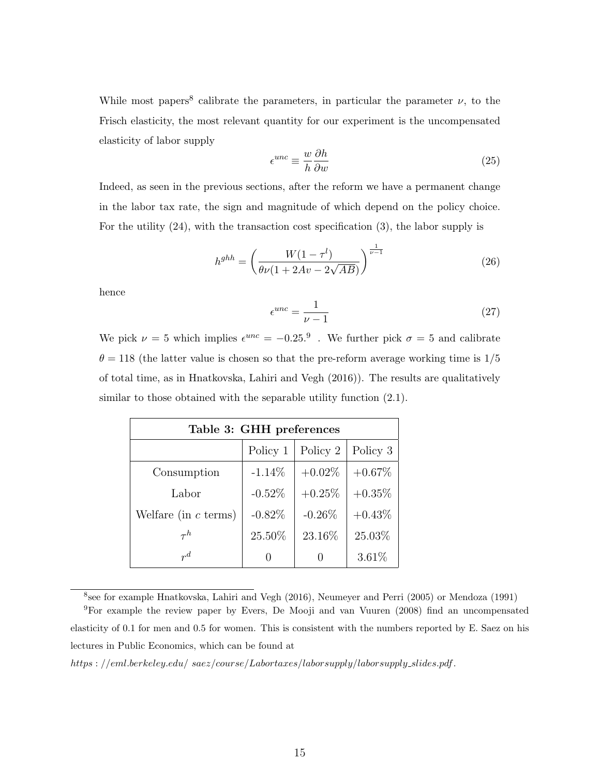While most papers<sup>8</sup> calibrate the parameters, in particular the parameter  $\nu$ , to the Frisch elasticity, the most relevant quantity for our experiment is the uncompensated elasticity of labor supply

$$
\epsilon^{unc} \equiv \frac{w}{h} \frac{\partial h}{\partial w} \tag{25}
$$

Indeed, as seen in the previous sections, after the reform we have a permanent change in the labor tax rate, the sign and magnitude of which depend on the policy choice. For the utility (24), with the transaction cost specification (3), the labor supply is

$$
h^{ghh} = \left(\frac{W(1 - \tau^l)}{\theta \nu (1 + 2Av - 2\sqrt{AB})}\right)^{\frac{1}{\nu - 1}}
$$
(26)

hence

$$
\epsilon^{unc} = \frac{1}{\nu - 1} \tag{27}
$$

We pick  $\nu = 5$  which implies  $\epsilon^{unc} = -0.25$ .<sup>9</sup>. We further pick  $\sigma = 5$  and calibrate  $\theta = 118$  (the latter value is chosen so that the pre-reform average working time is  $1/5$ of total time, as in Hnatkovska, Lahiri and Vegh (2016)). The results are qualitatively similar to those obtained with the separable utility function  $(2.1)$ .

| Table 3: GHH preferences |           |           |           |
|--------------------------|-----------|-----------|-----------|
|                          | Policy 1  | Policy 2  | Policy 3  |
| Consumption              | $-1.14\%$ | $+0.02\%$ | $+0.67\%$ |
| Labor                    | $-0.52\%$ | $+0.25%$  | $+0.35\%$ |
| Welfare (in $c$ terms)   | $-0.82%$  | $-0.26%$  | $+0.43\%$ |
| $\tau^h$                 | 25.50%    | 23.16%    | 25.03%    |
| $r^d$                    |           |           | 3.61%     |

8 see for example Hnatkovska, Lahiri and Vegh (2016), Neumeyer and Perri (2005) or Mendoza (1991)

https : //eml.berkeley.edu/ saez/course/Labortaxes/laborsupply/laborsupply slides.pdf.

<sup>9</sup>For example the review paper by Evers, De Mooji and van Vuuren (2008) find an uncompensated elasticity of 0.1 for men and 0.5 for women. This is consistent with the numbers reported by E. Saez on his lectures in Public Economics, which can be found at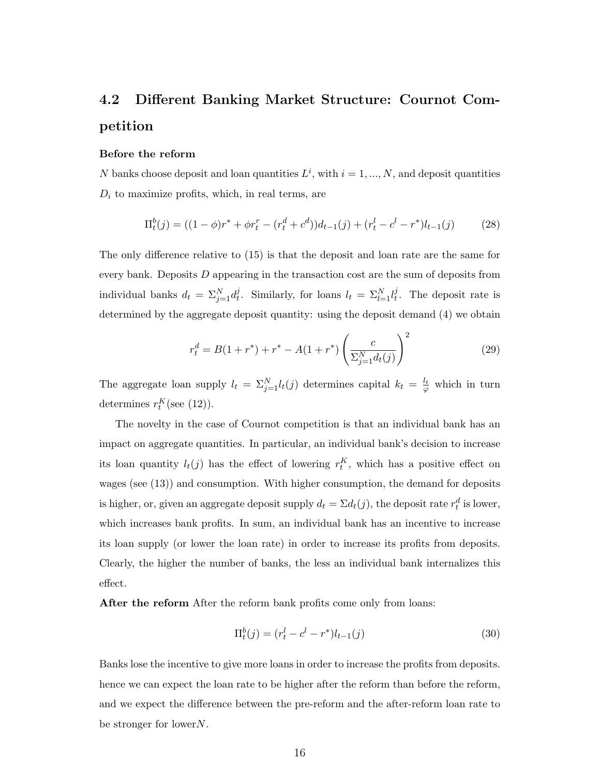# 4.2 Different Banking Market Structure: Cournot Competition

#### Before the reform

N banks choose deposit and loan quantities  $L^i$ , with  $i = 1, ..., N$ , and deposit quantities  $D_i$  to maximize profits, which, in real terms, are

$$
\Pi_t^b(j) = ((1 - \phi)r^* + \phi r_t^r - (r_t^d + c^d))d_{t-1}(j) + (r_t^l - c^l - r^*)l_{t-1}(j)
$$
(28)

The only difference relative to (15) is that the deposit and loan rate are the same for every bank. Deposits D appearing in the transaction cost are the sum of deposits from individual banks  $d_t = \sum_{j=1}^{N} d_t^j$  $t_t^j$ . Similarly, for loans  $l_t = \sum_{l=1}^N l_t^j$  $t<sub>t</sub>$ . The deposit rate is determined by the aggregate deposit quantity: using the deposit demand (4) we obtain

$$
r_t^d = B(1 + r^*) + r^* - A(1 + r^*) \left(\frac{c}{\sum_{j=1}^N d_t(j)}\right)^2
$$
 (29)

The aggregate loan supply  $l_t = \sum_{j=1}^{N} l_t(j)$  determines capital  $k_t = \frac{l_t}{\varphi}$  which in turn determines  $r_t^K(\text{see } (12)).$ 

The novelty in the case of Cournot competition is that an individual bank has an impact on aggregate quantities. In particular, an individual bank's decision to increase its loan quantity  $l_t(j)$  has the effect of lowering  $r_t^K$ , which has a positive effect on wages (see (13)) and consumption. With higher consumption, the demand for deposits is higher, or, given an aggregate deposit supply  $d_t = \Sigma d_t(j)$ , the deposit rate  $r_t^d$  is lower, which increases bank profits. In sum, an individual bank has an incentive to increase its loan supply (or lower the loan rate) in order to increase its profits from deposits. Clearly, the higher the number of banks, the less an individual bank internalizes this effect.

After the reform After the reform bank profits come only from loans:

$$
\Pi_t^b(j) = (r_t^l - c^l - r^*)l_{t-1}(j)
$$
\n(30)

Banks lose the incentive to give more loans in order to increase the profits from deposits. hence we can expect the loan rate to be higher after the reform than before the reform, and we expect the difference between the pre-reform and the after-reform loan rate to be stronger for lower  $N$ .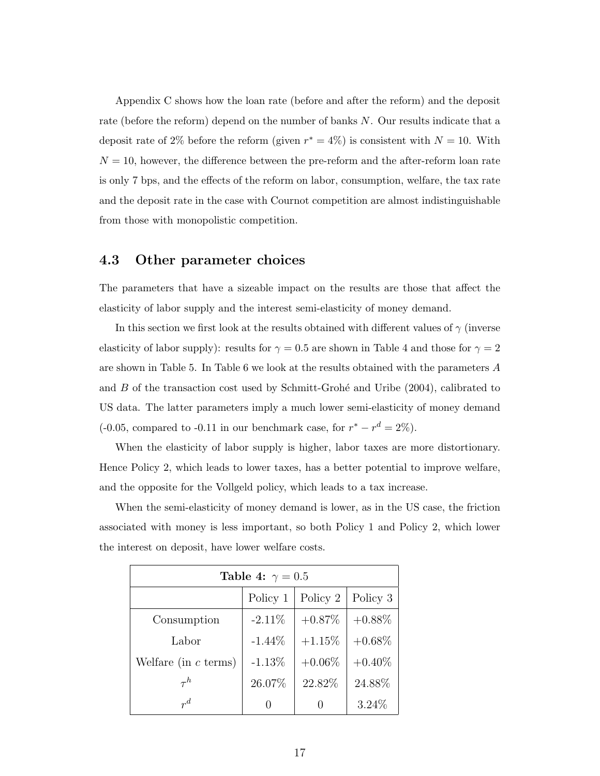Appendix C shows how the loan rate (before and after the reform) and the deposit rate (before the reform) depend on the number of banks N. Our results indicate that a deposit rate of 2% before the reform (given  $r^* = 4\%$ ) is consistent with  $N = 10$ . With  $N = 10$ , however, the difference between the pre-reform and the after-reform loan rate is only 7 bps, and the effects of the reform on labor, consumption, welfare, the tax rate and the deposit rate in the case with Cournot competition are almost indistinguishable from those with monopolistic competition.

#### 4.3 Other parameter choices

The parameters that have a sizeable impact on the results are those that affect the elasticity of labor supply and the interest semi-elasticity of money demand.

In this section we first look at the results obtained with different values of  $\gamma$  (inverse elasticity of labor supply): results for  $\gamma = 0.5$  are shown in Table 4 and those for  $\gamma = 2$ are shown in Table 5. In Table 6 we look at the results obtained with the parameters A and  $B$  of the transaction cost used by Schmitt-Grohé and Uribe (2004), calibrated to US data. The latter parameters imply a much lower semi-elasticity of money demand  $(-0.05,$  compared to  $-0.11$  in our benchmark case, for  $r^* - r^d = 2\%$ ).

When the elasticity of labor supply is higher, labor taxes are more distortionary. Hence Policy 2, which leads to lower taxes, has a better potential to improve welfare, and the opposite for the Vollgeld policy, which leads to a tax increase.

When the semi-elasticity of money demand is lower, as in the US case, the friction associated with money is less important, so both Policy 1 and Policy 2, which lower the interest on deposit, have lower welfare costs.

| Table 4: $\gamma = 0.5$ |           |           |           |
|-------------------------|-----------|-----------|-----------|
|                         | Policy 1  | Policy 2  | Policy 3  |
| Consumption             | $-2.11\%$ | $+0.87\%$ | $+0.88\%$ |
| Labor                   | $-1.44\%$ | $+1.15%$  | $+0.68\%$ |
| Welfare (in $c$ terms)  | $-1.13%$  | $+0.06\%$ | $+0.40\%$ |
| $\tau^h$                | 26.07%    | 22.82%    | 24.88%    |
| $r^d$                   |           |           | $3.24\%$  |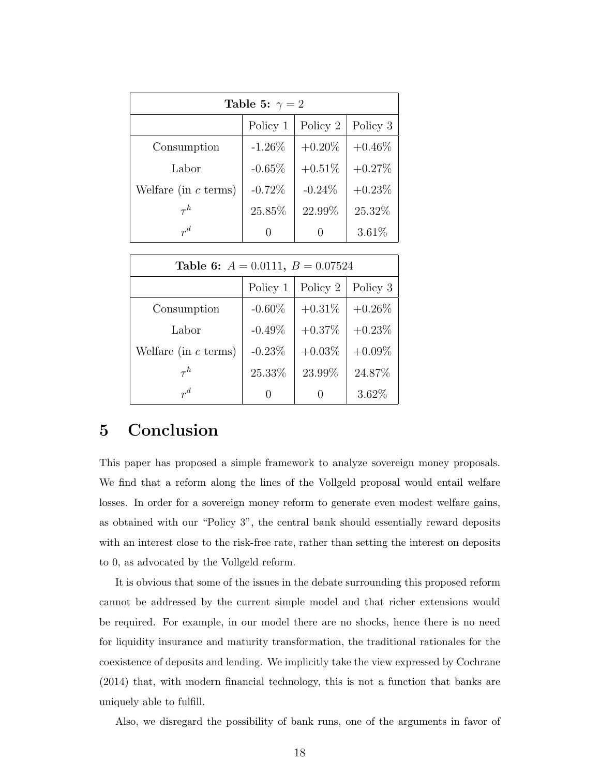| Table 5: $\gamma = 2$  |                  |           |           |
|------------------------|------------------|-----------|-----------|
|                        | Policy 1         | Policy 2  | Policy 3  |
| Consumption            | $-1.26%$         | $+0.20\%$ | $+0.46\%$ |
| Labor                  | $-0.65%$         | $+0.51\%$ | $+0.27%$  |
| Welfare (in $c$ terms) | $-0.72\%$        | $-0.24\%$ | $+0.23\%$ |
| $\tau^h$               | 25.85%           | 22.99%    | 25.32%    |
| $r^d$                  | $\left( \right)$ |           | 3.61%     |

| Table 6: $A = 0.0111$ , $B = 0.07524$ |              |           |           |
|---------------------------------------|--------------|-----------|-----------|
|                                       | Policy 1     | Policy 2  | Policy 3  |
| Consumption                           | $-0.60\%$    | $+0.31\%$ | $+0.26\%$ |
| Labor                                 | $-0.49\%$    | $+0.37%$  | $+0.23%$  |
| Welfare (in $c$ terms)                | $-0.23\%$    | $+0.03\%$ | $+0.09\%$ |
| $\tau^h$                              | 25.33%       | 23.99%    | 24.87%    |
| $r^d$                                 | $\mathbf{0}$ |           | 3.62%     |

### 5 Conclusion

This paper has proposed a simple framework to analyze sovereign money proposals. We find that a reform along the lines of the Vollgeld proposal would entail welfare losses. In order for a sovereign money reform to generate even modest welfare gains, as obtained with our "Policy 3", the central bank should essentially reward deposits with an interest close to the risk-free rate, rather than setting the interest on deposits to 0, as advocated by the Vollgeld reform.

It is obvious that some of the issues in the debate surrounding this proposed reform cannot be addressed by the current simple model and that richer extensions would be required. For example, in our model there are no shocks, hence there is no need for liquidity insurance and maturity transformation, the traditional rationales for the coexistence of deposits and lending. We implicitly take the view expressed by Cochrane (2014) that, with modern financial technology, this is not a function that banks are uniquely able to fulfill.

Also, we disregard the possibility of bank runs, one of the arguments in favor of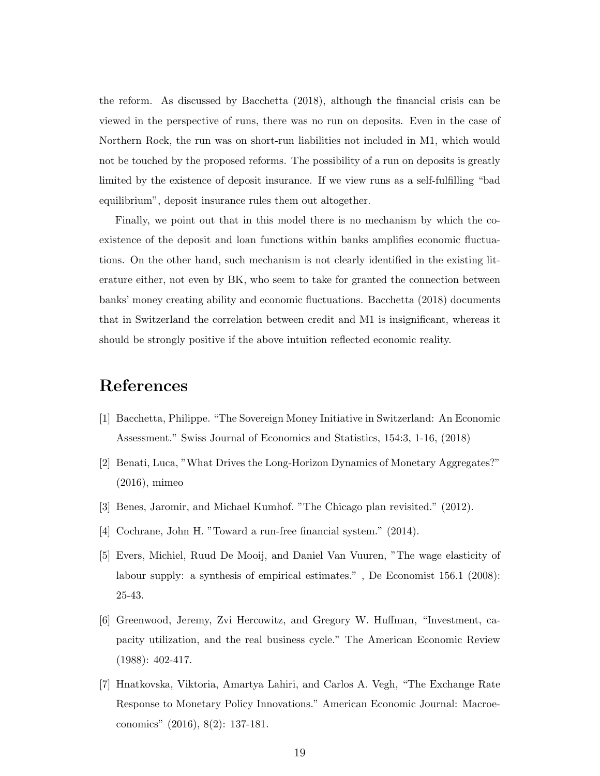the reform. As discussed by Bacchetta (2018), although the financial crisis can be viewed in the perspective of runs, there was no run on deposits. Even in the case of Northern Rock, the run was on short-run liabilities not included in M1, which would not be touched by the proposed reforms. The possibility of a run on deposits is greatly limited by the existence of deposit insurance. If we view runs as a self-fulfilling "bad equilibrium", deposit insurance rules them out altogether.

Finally, we point out that in this model there is no mechanism by which the coexistence of the deposit and loan functions within banks amplifies economic fluctuations. On the other hand, such mechanism is not clearly identified in the existing literature either, not even by BK, who seem to take for granted the connection between banks' money creating ability and economic fluctuations. Bacchetta (2018) documents that in Switzerland the correlation between credit and M1 is insignificant, whereas it should be strongly positive if the above intuition reflected economic reality.

# References

- [1] Bacchetta, Philippe. "The Sovereign Money Initiative in Switzerland: An Economic Assessment." Swiss Journal of Economics and Statistics, 154:3, 1-16, (2018)
- [2] Benati, Luca, "What Drives the Long-Horizon Dynamics of Monetary Aggregates?" (2016), mimeo
- [3] Benes, Jaromir, and Michael Kumhof. "The Chicago plan revisited." (2012).
- [4] Cochrane, John H. "Toward a run-free financial system." (2014).
- [5] Evers, Michiel, Ruud De Mooij, and Daniel Van Vuuren, "The wage elasticity of labour supply: a synthesis of empirical estimates." , De Economist 156.1 (2008): 25-43.
- [6] Greenwood, Jeremy, Zvi Hercowitz, and Gregory W. Huffman, "Investment, capacity utilization, and the real business cycle." The American Economic Review (1988): 402-417.
- [7] Hnatkovska, Viktoria, Amartya Lahiri, and Carlos A. Vegh, "The Exchange Rate Response to Monetary Policy Innovations." American Economic Journal: Macroeconomics" (2016), 8(2): 137-181.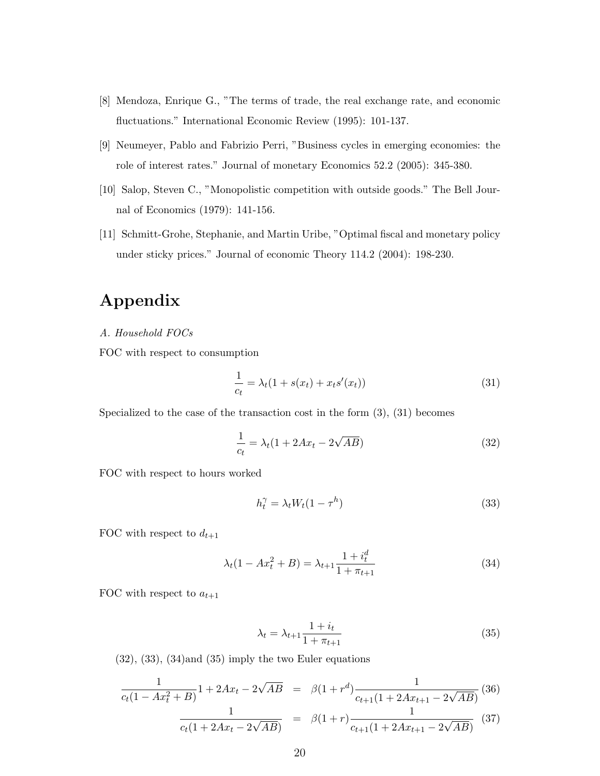- [8] Mendoza, Enrique G., "The terms of trade, the real exchange rate, and economic fluctuations." International Economic Review (1995): 101-137.
- [9] Neumeyer, Pablo and Fabrizio Perri, "Business cycles in emerging economies: the role of interest rates." Journal of monetary Economics 52.2 (2005): 345-380.
- [10] Salop, Steven C., "Monopolistic competition with outside goods." The Bell Journal of Economics (1979): 141-156.
- [11] Schmitt-Grohe, Stephanie, and Martin Uribe, "Optimal fiscal and monetary policy under sticky prices." Journal of economic Theory 114.2 (2004): 198-230.

## Appendix

A. Household FOCs

FOC with respect to consumption

$$
\frac{1}{c_t} = \lambda_t (1 + s(x_t) + x_t s'(x_t))
$$
\n(31)

Specialized to the case of the transaction cost in the form  $(3)$ ,  $(31)$  becomes

$$
\frac{1}{c_t} = \lambda_t (1 + 2Ax_t - 2\sqrt{AB})\tag{32}
$$

FOC with respect to hours worked

$$
h_t^{\gamma} = \lambda_t W_t (1 - \tau^h) \tag{33}
$$

FOC with respect to  $d_{t+1}$ 

$$
\lambda_t (1 - Ax_t^2 + B) = \lambda_{t+1} \frac{1 + i_t^d}{1 + \pi_{t+1}}
$$
\n(34)

FOC with respect to  $a_{t+1}$ 

$$
\lambda_t = \lambda_{t+1} \frac{1 + i_t}{1 + \pi_{t+1}}
$$
\n(35)

 $(32)$ ,  $(33)$ ,  $(34)$  and  $(35)$  imply the two Euler equations

$$
\frac{1}{c_t(1 - Ax_t^2 + B)} \cdot 1 + 2Ax_t - 2\sqrt{AB} = \beta(1 + r^d) \frac{1}{c_{t+1}(1 + 2Ax_{t+1} - 2\sqrt{AB})}
$$
(36)  

$$
\frac{1}{c_t(1 + 2Ax_t - 2\sqrt{AB})} = \beta(1 + r) \frac{1}{c_{t+1}(1 + 2Ax_{t+1} - 2\sqrt{AB})}
$$
(37)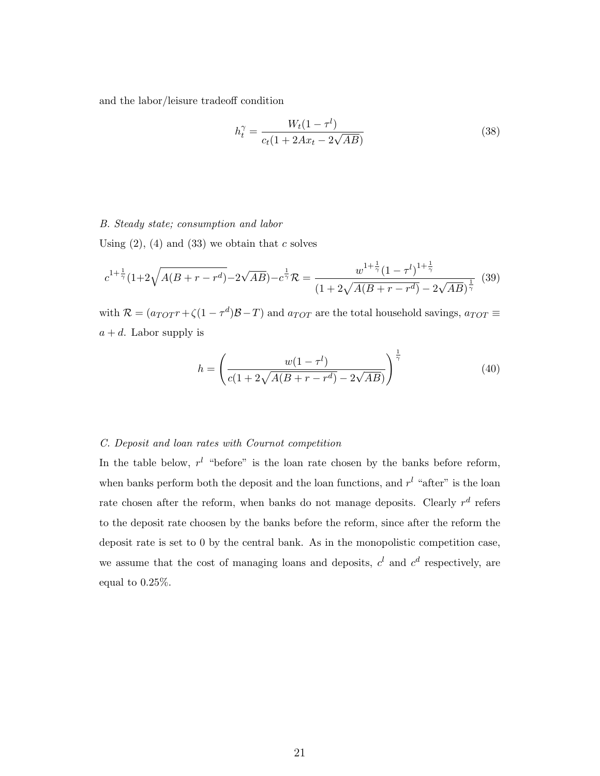and the labor/leisure tradeoff condition

$$
h_t^{\gamma} = \frac{W_t(1 - \tau^l)}{c_t(1 + 2Ax_t - 2\sqrt{AB})}
$$
(38)

#### B. Steady state; consumption and labor

Using  $(2)$ ,  $(4)$  and  $(33)$  we obtain that c solves

$$
c^{1+\frac{1}{\gamma}}(1+2\sqrt{A(B+r-r^d)}-2\sqrt{AB})-c^{\frac{1}{\gamma}}\mathcal{R}=\frac{w^{1+\frac{1}{\gamma}}(1-\tau^{l})^{1+\frac{1}{\gamma}}}{(1+2\sqrt{A(B+r-r^d)}-2\sqrt{AB})^{\frac{1}{\gamma}}}\tag{39}
$$

with  $\mathcal{R} = (a_{TOT}r + \zeta(1 - \tau^d)\mathcal{B} - T)$  and  $a_{TOT}$  are the total household savings,  $a_{TOT} \equiv$  $a + d$ . Labor supply is

$$
h = \left(\frac{w(1 - \tau^{l})}{c(1 + 2\sqrt{A(B + r - r^{d})} - 2\sqrt{AB})}\right)^{\frac{1}{\gamma}}
$$
(40)

#### C. Deposit and loan rates with Cournot competition

In the table below,  $r^{l}$  "before" is the loan rate chosen by the banks before reform, when banks perform both the deposit and the loan functions, and  $r<sup>l</sup>$  "after" is the loan rate chosen after the reform, when banks do not manage deposits. Clearly  $r^d$  refers to the deposit rate choosen by the banks before the reform, since after the reform the deposit rate is set to 0 by the central bank. As in the monopolistic competition case, we assume that the cost of managing loans and deposits,  $c^l$  and  $c^d$  respectively, are equal to 0.25%.